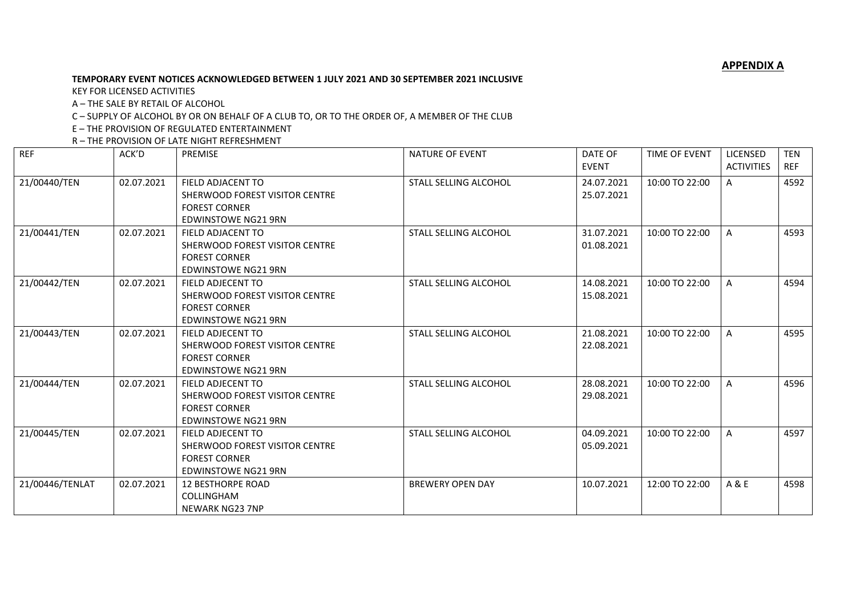**APPENDIX A**

## **TEMPORARY EVENT NOTICES ACKNOWLEDGED BETWEEN 1 JULY 2021 AND 30 SEPTEMBER 2021 INCLUSIVE**

KEY FOR LICENSED ACTIVITIES

A – THE SALE BY RETAIL OF ALCOHOL

C – SUPPLY OF ALCOHOL BY OR ON BEHALF OF A CLUB TO, OR TO THE ORDER OF, A MEMBER OF THE CLUB

E – THE PROVISION OF REGULATED ENTERTAINMENT

R – THE PROVISION OF LATE NIGHT REFRESHMENT

| <b>REF</b>      | ACK'D      | <b>PREMISE</b>                                                                                                   | NATURE OF EVENT              | DATE OF<br><b>EVENT</b>  | TIME OF EVENT  | LICENSED<br><b>ACTIVITIES</b> | <b>TEN</b><br><b>REF</b> |
|-----------------|------------|------------------------------------------------------------------------------------------------------------------|------------------------------|--------------------------|----------------|-------------------------------|--------------------------|
| 21/00440/TEN    | 02.07.2021 | FIELD ADJACENT TO<br>SHERWOOD FOREST VISITOR CENTRE<br><b>FOREST CORNER</b><br><b>EDWINSTOWE NG21 9RN</b>        | STALL SELLING ALCOHOL        | 24.07.2021<br>25.07.2021 | 10:00 TO 22:00 | A                             | 4592                     |
| 21/00441/TEN    | 02.07.2021 | FIELD ADJACENT TO<br>SHERWOOD FOREST VISITOR CENTRE<br><b>FOREST CORNER</b><br><b>EDWINSTOWE NG21 9RN</b>        | STALL SELLING ALCOHOL        | 31.07.2021<br>01.08.2021 | 10:00 TO 22:00 | A                             | 4593                     |
| 21/00442/TEN    | 02.07.2021 | FIELD ADJECENT TO<br>SHERWOOD FOREST VISITOR CENTRE<br><b>FOREST CORNER</b><br><b>EDWINSTOWE NG21 9RN</b>        | STALL SELLING ALCOHOL        | 14.08.2021<br>15.08.2021 | 10:00 TO 22:00 | A                             | 4594                     |
| 21/00443/TEN    | 02.07.2021 | FIELD ADJECENT TO<br>SHERWOOD FOREST VISITOR CENTRE<br><b>FOREST CORNER</b><br><b>EDWINSTOWE NG21 9RN</b>        | STALL SELLING ALCOHOL        | 21.08.2021<br>22.08.2021 | 10:00 TO 22:00 | A                             | 4595                     |
| 21/00444/TEN    | 02.07.2021 | <b>FIELD ADJECENT TO</b><br>SHERWOOD FOREST VISITOR CENTRE<br><b>FOREST CORNER</b><br><b>EDWINSTOWE NG21 9RN</b> | <b>STALL SELLING ALCOHOL</b> | 28.08.2021<br>29.08.2021 | 10:00 TO 22:00 | A                             | 4596                     |
| 21/00445/TEN    | 02.07.2021 | FIELD ADJECENT TO<br>SHERWOOD FOREST VISITOR CENTRE<br><b>FOREST CORNER</b><br><b>EDWINSTOWE NG21 9RN</b>        | STALL SELLING ALCOHOL        | 04.09.2021<br>05.09.2021 | 10:00 TO 22:00 | A                             | 4597                     |
| 21/00446/TENLAT | 02.07.2021 | <b>12 BESTHORPE ROAD</b><br><b>COLLINGHAM</b><br><b>NEWARK NG23 7NP</b>                                          | <b>BREWERY OPEN DAY</b>      | 10.07.2021               | 12:00 TO 22:00 | A & E                         | 4598                     |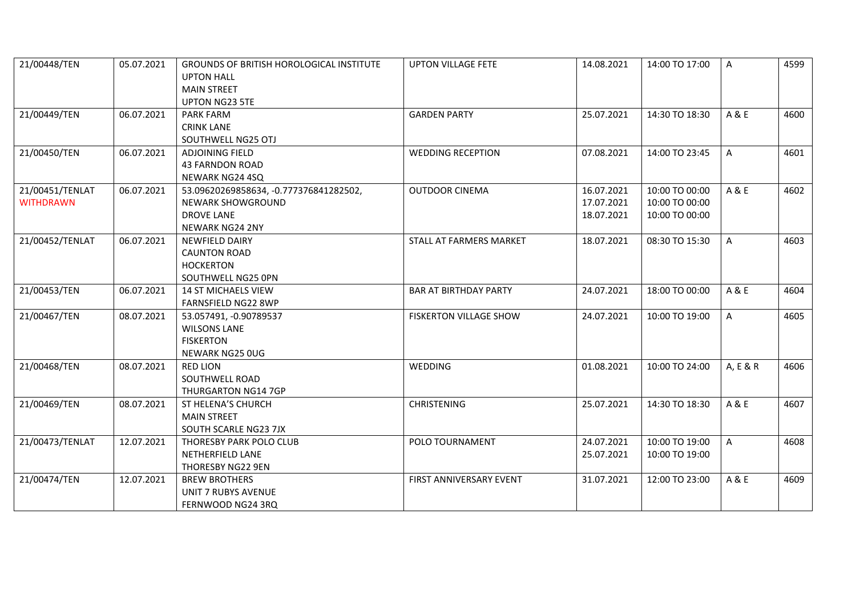| 21/00448/TEN                        | 05.07.2021 | <b>GROUNDS OF BRITISH HOROLOGICAL INSTITUTE</b><br><b>UPTON HALL</b><br><b>MAIN STREET</b>                 | <b>UPTON VILLAGE FETE</b>     | 14.08.2021                             | 14:00 TO 17:00                                     | A            | 4599 |
|-------------------------------------|------------|------------------------------------------------------------------------------------------------------------|-------------------------------|----------------------------------------|----------------------------------------------------|--------------|------|
| 21/00449/TEN                        | 06.07.2021 | <b>UPTON NG23 5TE</b><br><b>PARK FARM</b><br><b>CRINK LANE</b><br>SOUTHWELL NG25 OTJ                       | <b>GARDEN PARTY</b>           | 25.07.2021                             | 14:30 TO 18:30                                     | A & E        | 4600 |
| 21/00450/TEN                        | 06.07.2021 | ADJOINING FIELD<br><b>43 FARNDON ROAD</b><br>NEWARK NG24 4SQ                                               | <b>WEDDING RECEPTION</b>      | 07.08.2021                             | 14:00 TO 23:45                                     | A            | 4601 |
| 21/00451/TENLAT<br><b>WITHDRAWN</b> | 06.07.2021 | 53.09620269858634, -0.777376841282502,<br><b>NEWARK SHOWGROUND</b><br>DROVE LANE<br><b>NEWARK NG24 2NY</b> | <b>OUTDOOR CINEMA</b>         | 16.07.2021<br>17.07.2021<br>18.07.2021 | 10:00 TO 00:00<br>10:00 TO 00:00<br>10:00 TO 00:00 | A & E        | 4602 |
| 21/00452/TENLAT                     | 06.07.2021 | <b>NEWFIELD DAIRY</b><br><b>CAUNTON ROAD</b><br><b>HOCKERTON</b><br>SOUTHWELL NG25 0PN                     | STALL AT FARMERS MARKET       | 18.07.2021                             | 08:30 TO 15:30                                     | $\mathsf{A}$ | 4603 |
| 21/00453/TEN                        | 06.07.2021 | <b>14 ST MICHAELS VIEW</b><br>FARNSFIELD NG22 8WP                                                          | <b>BAR AT BIRTHDAY PARTY</b>  | 24.07.2021                             | 18:00 TO 00:00                                     | A & E        | 4604 |
| 21/00467/TEN                        | 08.07.2021 | 53.057491, -0.90789537<br><b>WILSONS LANE</b><br><b>FISKERTON</b><br>NEWARK NG25 0UG                       | <b>FISKERTON VILLAGE SHOW</b> | 24.07.2021                             | 10:00 TO 19:00                                     | A            | 4605 |
| 21/00468/TEN                        | 08.07.2021 | <b>RED LION</b><br>SOUTHWELL ROAD<br>THURGARTON NG14 7GP                                                   | WEDDING                       | 01.08.2021                             | 10:00 TO 24:00                                     | A, E & R     | 4606 |
| 21/00469/TEN                        | 08.07.2021 | ST HELENA'S CHURCH<br><b>MAIN STREET</b><br>SOUTH SCARLE NG23 7JX                                          | <b>CHRISTENING</b>            | 25.07.2021                             | 14:30 TO 18:30                                     | A & E        | 4607 |
| 21/00473/TENLAT                     | 12.07.2021 | THORESBY PARK POLO CLUB<br>NETHERFIELD LANE<br>THORESBY NG22 9EN                                           | POLO TOURNAMENT               | 24.07.2021<br>25.07.2021               | 10:00 TO 19:00<br>10:00 TO 19:00                   | A            | 4608 |
| 21/00474/TEN                        | 12.07.2021 | <b>BREW BROTHERS</b><br><b>UNIT 7 RUBYS AVENUE</b><br>FERNWOOD NG24 3RQ                                    | FIRST ANNIVERSARY EVENT       | 31.07.2021                             | 12:00 TO 23:00                                     | A & E        | 4609 |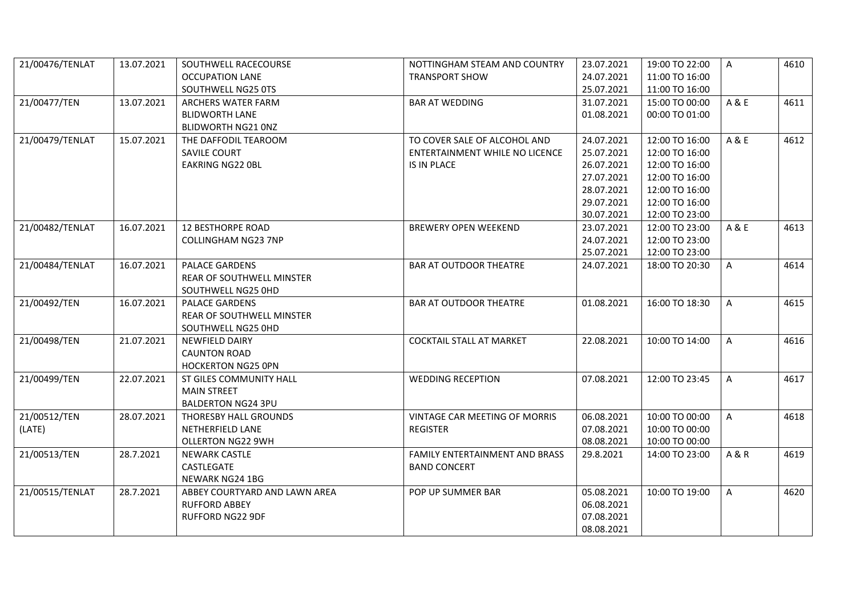| 21/00476/TENLAT | 13.07.2021 | SOUTHWELL RACECOURSE             | NOTTINGHAM STEAM AND COUNTRY          | 23.07.2021 | 19:00 TO 22:00 | A            | 4610 |
|-----------------|------------|----------------------------------|---------------------------------------|------------|----------------|--------------|------|
|                 |            | <b>OCCUPATION LANE</b>           | <b>TRANSPORT SHOW</b>                 | 24.07.2021 | 11:00 TO 16:00 |              |      |
|                 |            | SOUTHWELL NG25 0TS               |                                       | 25.07.2021 | 11:00 TO 16:00 |              |      |
| 21/00477/TEN    | 13.07.2021 | ARCHERS WATER FARM               | <b>BAR AT WEDDING</b>                 | 31.07.2021 | 15:00 TO 00:00 | A & E        | 4611 |
|                 |            | <b>BLIDWORTH LANE</b>            |                                       | 01.08.2021 | 00:00 TO 01:00 |              |      |
|                 |            | BLIDWORTH NG21 ONZ               |                                       |            |                |              |      |
| 21/00479/TENLAT | 15.07.2021 | THE DAFFODIL TEAROOM             | TO COVER SALE OF ALCOHOL AND          | 24.07.2021 | 12:00 TO 16:00 | A & E        | 4612 |
|                 |            | <b>SAVILE COURT</b>              | <b>ENTERTAINMENT WHILE NO LICENCE</b> | 25.07.2021 | 12:00 TO 16:00 |              |      |
|                 |            | <b>EAKRING NG22 OBL</b>          | <b>IS IN PLACE</b>                    | 26.07.2021 | 12:00 TO 16:00 |              |      |
|                 |            |                                  |                                       | 27.07.2021 | 12:00 TO 16:00 |              |      |
|                 |            |                                  |                                       | 28.07.2021 | 12:00 TO 16:00 |              |      |
|                 |            |                                  |                                       | 29.07.2021 | 12:00 TO 16:00 |              |      |
|                 |            |                                  |                                       | 30.07.2021 | 12:00 TO 23:00 |              |      |
| 21/00482/TENLAT | 16.07.2021 | <b>12 BESTHORPE ROAD</b>         | <b>BREWERY OPEN WEEKEND</b>           | 23.07.2021 | 12:00 TO 23:00 | A & E        | 4613 |
|                 |            | COLLINGHAM NG23 7NP              |                                       | 24.07.2021 | 12:00 TO 23:00 |              |      |
|                 |            |                                  |                                       | 25.07.2021 | 12:00 TO 23:00 |              |      |
| 21/00484/TENLAT | 16.07.2021 | <b>PALACE GARDENS</b>            | <b>BAR AT OUTDOOR THEATRE</b>         | 24.07.2021 | 18:00 TO 20:30 | $\mathsf{A}$ | 4614 |
|                 |            | <b>REAR OF SOUTHWELL MINSTER</b> |                                       |            |                |              |      |
|                 |            | SOUTHWELL NG25 0HD               |                                       |            |                |              |      |
| 21/00492/TEN    | 16.07.2021 | <b>PALACE GARDENS</b>            | <b>BAR AT OUTDOOR THEATRE</b>         | 01.08.2021 | 16:00 TO 18:30 | $\mathsf{A}$ | 4615 |
|                 |            | REAR OF SOUTHWELL MINSTER        |                                       |            |                |              |      |
|                 |            | SOUTHWELL NG25 0HD               |                                       |            |                |              |      |
| 21/00498/TEN    | 21.07.2021 | <b>NEWFIELD DAIRY</b>            | <b>COCKTAIL STALL AT MARKET</b>       | 22.08.2021 | 10:00 TO 14:00 | $\mathsf{A}$ | 4616 |
|                 |            | <b>CAUNTON ROAD</b>              |                                       |            |                |              |      |
|                 |            | <b>HOCKERTON NG25 OPN</b>        |                                       |            |                |              |      |
| 21/00499/TEN    | 22.07.2021 | ST GILES COMMUNITY HALL          | <b>WEDDING RECEPTION</b>              | 07.08.2021 | 12:00 TO 23:45 | $\mathsf{A}$ | 4617 |
|                 |            | <b>MAIN STREET</b>               |                                       |            |                |              |      |
|                 |            | <b>BALDERTON NG24 3PU</b>        |                                       |            |                |              |      |
| 21/00512/TEN    | 28.07.2021 | THORESBY HALL GROUNDS            | VINTAGE CAR MEETING OF MORRIS         | 06.08.2021 | 10:00 TO 00:00 | $\mathsf{A}$ | 4618 |
| (LATE)          |            | NETHERFIELD LANE                 | <b>REGISTER</b>                       | 07.08.2021 | 10:00 TO 00:00 |              |      |
|                 |            | <b>OLLERTON NG22 9WH</b>         |                                       | 08.08.2021 | 10:00 TO 00:00 |              |      |
| 21/00513/TEN    | 28.7.2021  | <b>NEWARK CASTLE</b>             | <b>FAMILY ENTERTAINMENT AND BRASS</b> | 29.8.2021  | 14:00 TO 23:00 | A & R        | 4619 |
|                 |            | CASTLEGATE                       | <b>BAND CONCERT</b>                   |            |                |              |      |
|                 |            | NEWARK NG24 1BG                  |                                       |            |                |              |      |
| 21/00515/TENLAT | 28.7.2021  | ABBEY COURTYARD AND LAWN AREA    | POP UP SUMMER BAR                     | 05.08.2021 | 10:00 TO 19:00 | $\mathsf{A}$ | 4620 |
|                 |            | <b>RUFFORD ABBEY</b>             |                                       | 06.08.2021 |                |              |      |
|                 |            | RUFFORD NG22 9DF                 |                                       | 07.08.2021 |                |              |      |
|                 |            |                                  |                                       | 08.08.2021 |                |              |      |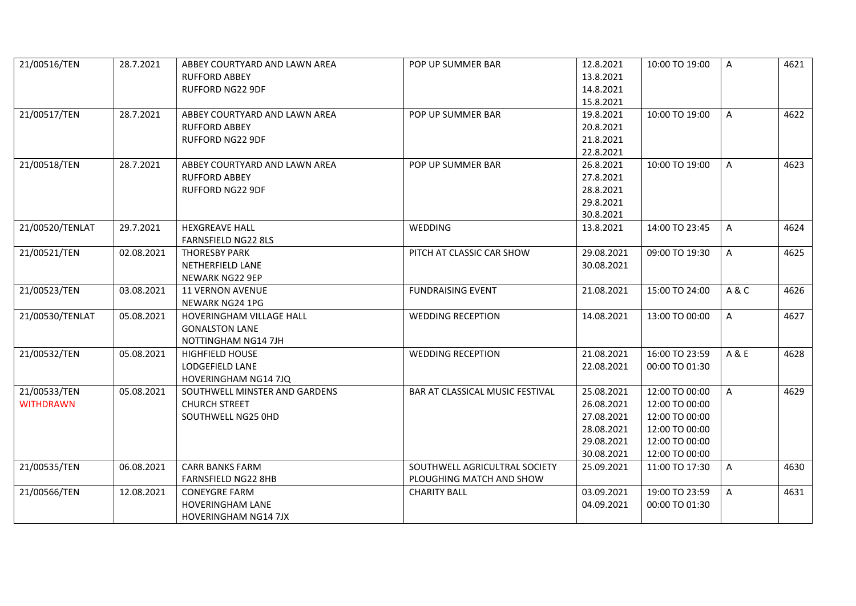| 21/00516/TEN                     | 28.7.2021  | ABBEY COURTYARD AND LAWN AREA<br><b>RUFFORD ABBEY</b><br>RUFFORD NG22 9DF | POP UP SUMMER BAR               | 12.8.2021<br>13.8.2021<br>14.8.2021 | 10:00 TO 19:00 | A            | 4621 |
|----------------------------------|------------|---------------------------------------------------------------------------|---------------------------------|-------------------------------------|----------------|--------------|------|
|                                  |            |                                                                           |                                 | 15.8.2021                           |                |              |      |
| 21/00517/TEN                     | 28.7.2021  | ABBEY COURTYARD AND LAWN AREA                                             | POP UP SUMMER BAR               | 19.8.2021                           | 10:00 TO 19:00 | $\mathsf{A}$ | 4622 |
|                                  |            | <b>RUFFORD ABBEY</b>                                                      |                                 | 20.8.2021                           |                |              |      |
|                                  |            | RUFFORD NG22 9DF                                                          |                                 | 21.8.2021                           |                |              |      |
|                                  |            |                                                                           |                                 | 22.8.2021                           |                |              |      |
| 21/00518/TEN                     | 28.7.2021  | ABBEY COURTYARD AND LAWN AREA                                             | POP UP SUMMER BAR               | 26.8.2021                           | 10:00 TO 19:00 | A            | 4623 |
|                                  |            | <b>RUFFORD ABBEY</b>                                                      |                                 | 27.8.2021                           |                |              |      |
|                                  |            | RUFFORD NG22 9DF                                                          |                                 | 28.8.2021                           |                |              |      |
|                                  |            |                                                                           |                                 | 29.8.2021                           |                |              |      |
|                                  |            |                                                                           |                                 | 30.8.2021                           |                |              |      |
| 21/00520/TENLAT                  | 29.7.2021  | <b>HEXGREAVE HALL</b>                                                     | WEDDING                         | 13.8.2021                           | 14:00 TO 23:45 | A            | 4624 |
|                                  |            | <b>FARNSFIELD NG22 8LS</b>                                                |                                 |                                     |                |              |      |
| 21/00521/TEN                     | 02.08.2021 | <b>THORESBY PARK</b>                                                      | PITCH AT CLASSIC CAR SHOW       | 29.08.2021                          | 09:00 TO 19:30 | A            | 4625 |
|                                  |            | NETHERFIELD LANE                                                          |                                 | 30.08.2021                          |                |              |      |
|                                  |            | NEWARK NG22 9EP                                                           |                                 |                                     |                |              |      |
| 21/00523/TEN                     | 03.08.2021 | 11 VERNON AVENUE                                                          | <b>FUNDRAISING EVENT</b>        | 21.08.2021                          | 15:00 TO 24:00 | A&C          | 4626 |
|                                  |            | NEWARK NG24 1PG                                                           |                                 |                                     |                |              |      |
| 21/00530/TENLAT                  | 05.08.2021 | HOVERINGHAM VILLAGE HALL                                                  | <b>WEDDING RECEPTION</b>        | 14.08.2021                          | 13:00 TO 00:00 | A            | 4627 |
|                                  |            | <b>GONALSTON LANE</b>                                                     |                                 |                                     |                |              |      |
|                                  |            | NOTTINGHAM NG14 7JH                                                       |                                 |                                     |                |              |      |
| 21/00532/TEN                     | 05.08.2021 | HIGHFIELD HOUSE                                                           | <b>WEDDING RECEPTION</b>        | 21.08.2021                          | 16:00 TO 23:59 | A & E        | 4628 |
|                                  |            | LODGEFIELD LANE                                                           |                                 | 22.08.2021                          | 00:00 TO 01:30 |              |      |
|                                  |            | HOVERINGHAM NG14 7JQ                                                      |                                 |                                     | 12:00 TO 00:00 | $\mathsf{A}$ |      |
| 21/00533/TEN<br><b>WITHDRAWN</b> | 05.08.2021 | SOUTHWELL MINSTER AND GARDENS<br><b>CHURCH STREET</b>                     | BAR AT CLASSICAL MUSIC FESTIVAL | 25.08.2021<br>26.08.2021            | 12:00 TO 00:00 |              | 4629 |
|                                  |            | SOUTHWELL NG25 0HD                                                        |                                 | 27.08.2021                          | 12:00 TO 00:00 |              |      |
|                                  |            |                                                                           |                                 | 28.08.2021                          | 12:00 TO 00:00 |              |      |
|                                  |            |                                                                           |                                 | 29.08.2021                          | 12:00 TO 00:00 |              |      |
|                                  |            |                                                                           |                                 | 30.08.2021                          | 12:00 TO 00:00 |              |      |
| 21/00535/TEN                     | 06.08.2021 | <b>CARR BANKS FARM</b>                                                    | SOUTHWELL AGRICULTRAL SOCIETY   | 25.09.2021                          | 11:00 TO 17:30 | A            | 4630 |
|                                  |            | FARNSFIELD NG22 8HB                                                       | PLOUGHING MATCH AND SHOW        |                                     |                |              |      |
| 21/00566/TEN                     | 12.08.2021 | <b>CONEYGRE FARM</b>                                                      | <b>CHARITY BALL</b>             | 03.09.2021                          | 19:00 TO 23:59 | $\mathsf{A}$ | 4631 |
|                                  |            | <b>HOVERINGHAM LANE</b>                                                   |                                 | 04.09.2021                          | 00:00 TO 01:30 |              |      |
|                                  |            | <b>HOVERINGHAM NG14 7JX</b>                                               |                                 |                                     |                |              |      |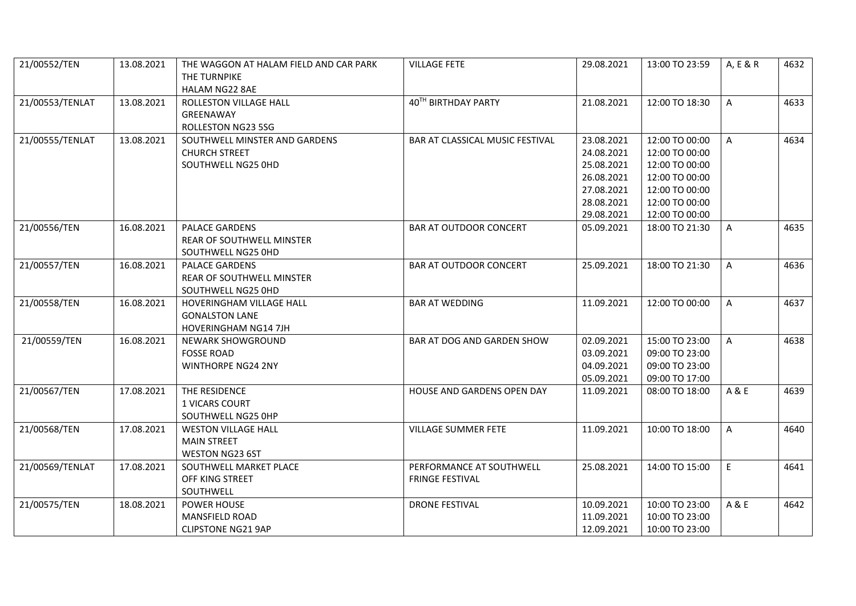| 21/00552/TEN    | 13.08.2021 | THE WAGGON AT HALAM FIELD AND CAR PARK<br>THE TURNPIKE                           | <b>VILLAGE FETE</b>                                | 29.08.2021                                                                                     | 13:00 TO 23:59                                                                                                             | A, E & R     | 4632 |
|-----------------|------------|----------------------------------------------------------------------------------|----------------------------------------------------|------------------------------------------------------------------------------------------------|----------------------------------------------------------------------------------------------------------------------------|--------------|------|
|                 |            | <b>HALAM NG22 8AE</b>                                                            |                                                    |                                                                                                |                                                                                                                            |              |      |
| 21/00553/TENLAT | 13.08.2021 | ROLLESTON VILLAGE HALL<br>GREENAWAY<br>ROLLESTON NG23 5SG                        | 40TH BIRTHDAY PARTY                                | 21.08.2021                                                                                     | 12:00 TO 18:30                                                                                                             | $\mathsf{A}$ | 4633 |
| 21/00555/TENLAT | 13.08.2021 | SOUTHWELL MINSTER AND GARDENS<br><b>CHURCH STREET</b><br>SOUTHWELL NG25 0HD      | BAR AT CLASSICAL MUSIC FESTIVAL                    | 23.08.2021<br>24.08.2021<br>25.08.2021<br>26.08.2021<br>27.08.2021<br>28.08.2021<br>29.08.2021 | 12:00 TO 00:00<br>12:00 TO 00:00<br>12:00 TO 00:00<br>12:00 TO 00:00<br>12:00 TO 00:00<br>12:00 TO 00:00<br>12:00 TO 00:00 | $\mathsf{A}$ | 4634 |
| 21/00556/TEN    | 16.08.2021 | <b>PALACE GARDENS</b><br>REAR OF SOUTHWELL MINSTER<br>SOUTHWELL NG25 0HD         | <b>BAR AT OUTDOOR CONCERT</b>                      | 05.09.2021                                                                                     | 18:00 TO 21:30                                                                                                             | A            | 4635 |
| 21/00557/TEN    | 16.08.2021 | PALACE GARDENS<br><b>REAR OF SOUTHWELL MINSTER</b><br>SOUTHWELL NG25 0HD         | <b>BAR AT OUTDOOR CONCERT</b>                      | 25.09.2021                                                                                     | 18:00 TO 21:30                                                                                                             | A            | 4636 |
| 21/00558/TEN    | 16.08.2021 | HOVERINGHAM VILLAGE HALL<br><b>GONALSTON LANE</b><br><b>HOVERINGHAM NG14 7JH</b> | <b>BAR AT WEDDING</b>                              | 11.09.2021                                                                                     | 12:00 TO 00:00                                                                                                             | $\mathsf{A}$ | 4637 |
| 21/00559/TEN    | 16.08.2021 | <b>NEWARK SHOWGROUND</b><br><b>FOSSE ROAD</b><br><b>WINTHORPE NG24 2NY</b>       | <b>BAR AT DOG AND GARDEN SHOW</b>                  | 02.09.2021<br>03.09.2021<br>04.09.2021<br>05.09.2021                                           | 15:00 TO 23:00<br>09:00 TO 23:00<br>09:00 TO 23:00<br>09:00 TO 17:00                                                       | $\mathsf{A}$ | 4638 |
| 21/00567/TEN    | 17.08.2021 | THE RESIDENCE<br>1 VICARS COURT<br>SOUTHWELL NG25 0HP                            | HOUSE AND GARDENS OPEN DAY                         | 11.09.2021                                                                                     | 08:00 TO 18:00                                                                                                             | A & E        | 4639 |
| 21/00568/TEN    | 17.08.2021 | <b>WESTON VILLAGE HALL</b><br><b>MAIN STREET</b><br><b>WESTON NG23 6ST</b>       | VILLAGE SUMMER FETE                                | 11.09.2021                                                                                     | 10:00 TO 18:00                                                                                                             | $\mathsf{A}$ | 4640 |
| 21/00569/TENLAT | 17.08.2021 | SOUTHWELL MARKET PLACE<br>OFF KING STREET<br>SOUTHWELL                           | PERFORMANCE AT SOUTHWELL<br><b>FRINGE FESTIVAL</b> | 25.08.2021                                                                                     | 14:00 TO 15:00                                                                                                             | E.           | 4641 |
| 21/00575/TEN    | 18.08.2021 | <b>POWER HOUSE</b><br>MANSFIELD ROAD<br><b>CLIPSTONE NG21 9AP</b>                | <b>DRONE FESTIVAL</b>                              | 10.09.2021<br>11.09.2021<br>12.09.2021                                                         | 10:00 TO 23:00<br>10:00 TO 23:00<br>10:00 TO 23:00                                                                         | A & E        | 4642 |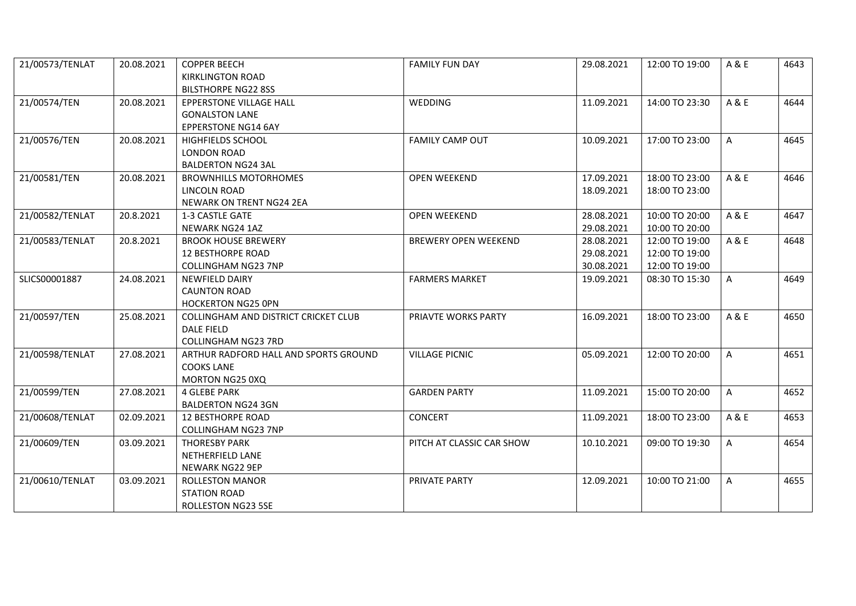| 21/00573/TENLAT | 20.08.2021 | <b>COPPER BEECH</b>                   | <b>FAMILY FUN DAY</b>       | 29.08.2021 | 12:00 TO 19:00 | A & E | 4643 |
|-----------------|------------|---------------------------------------|-----------------------------|------------|----------------|-------|------|
|                 |            | <b>KIRKLINGTON ROAD</b>               |                             |            |                |       |      |
|                 |            | <b>BILSTHORPE NG22 8SS</b>            |                             |            |                |       |      |
| 21/00574/TEN    | 20.08.2021 | EPPERSTONE VILLAGE HALL               | WEDDING                     | 11.09.2021 | 14:00 TO 23:30 | A & E | 4644 |
|                 |            | <b>GONALSTON LANE</b>                 |                             |            |                |       |      |
|                 |            | <b>EPPERSTONE NG14 6AY</b>            |                             |            |                |       |      |
| 21/00576/TEN    | 20.08.2021 | <b>HIGHFIELDS SCHOOL</b>              | <b>FAMILY CAMP OUT</b>      | 10.09.2021 | 17:00 TO 23:00 | A     | 4645 |
|                 |            | <b>LONDON ROAD</b>                    |                             |            |                |       |      |
|                 |            | <b>BALDERTON NG24 3AL</b>             |                             |            |                |       |      |
| 21/00581/TEN    | 20.08.2021 | <b>BROWNHILLS MOTORHOMES</b>          | <b>OPEN WEEKEND</b>         | 17.09.2021 | 18:00 TO 23:00 | A & E | 4646 |
|                 |            | LINCOLN ROAD                          |                             | 18.09.2021 | 18:00 TO 23:00 |       |      |
|                 |            | NEWARK ON TRENT NG24 2EA              |                             |            |                |       |      |
| 21/00582/TENLAT | 20.8.2021  | 1-3 CASTLE GATE                       | <b>OPEN WEEKEND</b>         | 28.08.2021 | 10:00 TO 20:00 | A & E | 4647 |
|                 |            | NEWARK NG24 1AZ                       |                             | 29.08.2021 | 10:00 TO 20:00 |       |      |
| 21/00583/TENLAT | 20.8.2021  | <b>BROOK HOUSE BREWERY</b>            | <b>BREWERY OPEN WEEKEND</b> | 28.08.2021 | 12:00 TO 19:00 | A & E | 4648 |
|                 |            | <b>12 BESTHORPE ROAD</b>              |                             | 29.08.2021 | 12:00 TO 19:00 |       |      |
|                 |            | COLLINGHAM NG23 7NP                   |                             | 30.08.2021 | 12:00 TO 19:00 |       |      |
| SLICS00001887   | 24.08.2021 | <b>NEWFIELD DAIRY</b>                 | <b>FARMERS MARKET</b>       | 19.09.2021 | 08:30 TO 15:30 | A     | 4649 |
|                 |            | <b>CAUNTON ROAD</b>                   |                             |            |                |       |      |
|                 |            | <b>HOCKERTON NG25 OPN</b>             |                             |            |                |       |      |
| 21/00597/TEN    | 25.08.2021 | COLLINGHAM AND DISTRICT CRICKET CLUB  | PRIAVTE WORKS PARTY         | 16.09.2021 | 18:00 TO 23:00 | A & E | 4650 |
|                 |            | DALE FIELD                            |                             |            |                |       |      |
|                 |            | <b>COLLINGHAM NG23 7RD</b>            |                             |            |                |       |      |
| 21/00598/TENLAT | 27.08.2021 | ARTHUR RADFORD HALL AND SPORTS GROUND | <b>VILLAGE PICNIC</b>       | 05.09.2021 | 12:00 TO 20:00 | A     | 4651 |
|                 |            | <b>COOKS LANE</b>                     |                             |            |                |       |      |
|                 |            | MORTON NG25 0XQ                       |                             |            |                |       |      |
| 21/00599/TEN    | 27.08.2021 | <b>4 GLEBE PARK</b>                   | <b>GARDEN PARTY</b>         | 11.09.2021 | 15:00 TO 20:00 | A     | 4652 |
|                 |            | <b>BALDERTON NG24 3GN</b>             |                             |            |                |       |      |
| 21/00608/TENLAT | 02.09.2021 | <b>12 BESTHORPE ROAD</b>              | CONCERT                     | 11.09.2021 | 18:00 TO 23:00 | A & E | 4653 |
|                 |            | COLLINGHAM NG23 7NP                   |                             |            |                |       |      |
| 21/00609/TEN    | 03.09.2021 | <b>THORESBY PARK</b>                  | PITCH AT CLASSIC CAR SHOW   | 10.10.2021 | 09:00 TO 19:30 | A     | 4654 |
|                 |            | NETHERFIELD LANE                      |                             |            |                |       |      |
|                 |            | NEWARK NG22 9EP                       |                             |            |                |       |      |
| 21/00610/TENLAT | 03.09.2021 | <b>ROLLESTON MANOR</b>                | PRIVATE PARTY               | 12.09.2021 | 10:00 TO 21:00 | A     | 4655 |
|                 |            | <b>STATION ROAD</b>                   |                             |            |                |       |      |
|                 |            | ROLLESTON NG23 5SE                    |                             |            |                |       |      |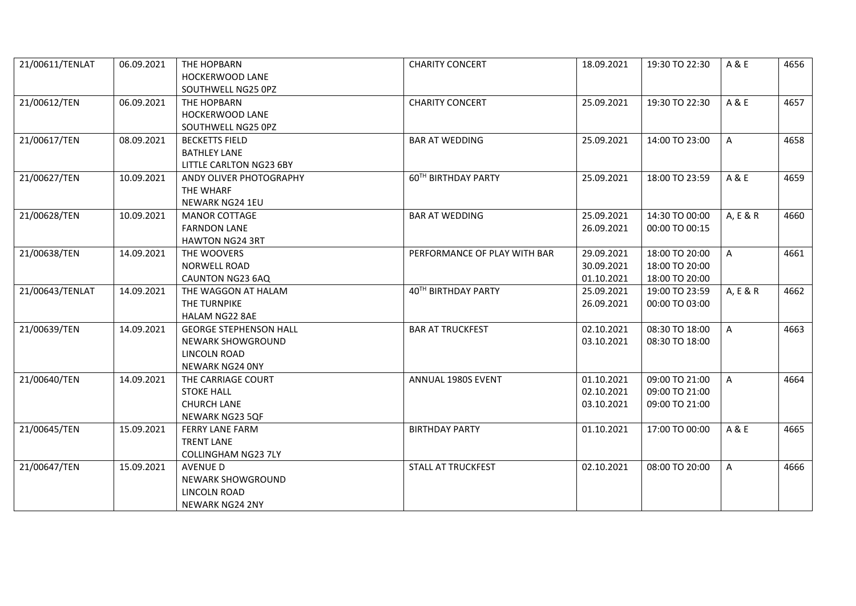| 21/00611/TENLAT | 06.09.2021 | THE HOPBARN<br><b>HOCKERWOOD LANE</b> | <b>CHARITY CONCERT</b>       | 18.09.2021 | 19:30 TO 22:30 | A & E        | 4656 |
|-----------------|------------|---------------------------------------|------------------------------|------------|----------------|--------------|------|
|                 |            | SOUTHWELL NG25 0PZ                    |                              |            |                |              |      |
| 21/00612/TEN    | 06.09.2021 | THE HOPBARN                           | <b>CHARITY CONCERT</b>       | 25.09.2021 | 19:30 TO 22:30 | A & E        | 4657 |
|                 |            | HOCKERWOOD LANE                       |                              |            |                |              |      |
|                 |            | SOUTHWELL NG25 0PZ                    |                              |            |                |              |      |
| 21/00617/TEN    | 08.09.2021 | <b>BECKETTS FIELD</b>                 | <b>BAR AT WEDDING</b>        | 25.09.2021 | 14:00 TO 23:00 | A            | 4658 |
|                 |            | <b>BATHLEY LANE</b>                   |                              |            |                |              |      |
|                 |            | LITTLE CARLTON NG23 6BY               |                              |            |                |              |      |
| 21/00627/TEN    | 10.09.2021 | ANDY OLIVER PHOTOGRAPHY               | 60TH BIRTHDAY PARTY          | 25.09.2021 | 18:00 TO 23:59 | A & E        | 4659 |
|                 |            | THE WHARF                             |                              |            |                |              |      |
|                 |            | NEWARK NG24 1EU                       |                              |            |                |              |      |
| 21/00628/TEN    | 10.09.2021 | <b>MANOR COTTAGE</b>                  | <b>BAR AT WEDDING</b>        | 25.09.2021 | 14:30 TO 00:00 | A, E & R     | 4660 |
|                 |            | <b>FARNDON LANE</b>                   |                              | 26.09.2021 | 00:00 TO 00:15 |              |      |
|                 |            | <b>HAWTON NG24 3RT</b>                |                              |            |                |              |      |
| 21/00638/TEN    | 14.09.2021 | THE WOOVERS                           | PERFORMANCE OF PLAY WITH BAR | 29.09.2021 | 18:00 TO 20:00 | $\mathsf{A}$ | 4661 |
|                 |            | <b>NORWELL ROAD</b>                   |                              | 30.09.2021 | 18:00 TO 20:00 |              |      |
|                 |            | CAUNTON NG23 6AQ                      |                              | 01.10.2021 | 18:00 TO 20:00 |              |      |
| 21/00643/TENLAT | 14.09.2021 | THE WAGGON AT HALAM                   | 40TH BIRTHDAY PARTY          | 25.09.2021 | 19:00 TO 23:59 | A, E & R     | 4662 |
|                 |            | THE TURNPIKE                          |                              | 26.09.2021 | 00:00 TO 03:00 |              |      |
|                 |            | HALAM NG22 8AE                        |                              |            |                |              |      |
| 21/00639/TEN    | 14.09.2021 | <b>GEORGE STEPHENSON HALL</b>         | <b>BAR AT TRUCKFEST</b>      | 02.10.2021 | 08:30 TO 18:00 | A            | 4663 |
|                 |            | NEWARK SHOWGROUND                     |                              | 03.10.2021 | 08:30 TO 18:00 |              |      |
|                 |            | LINCOLN ROAD                          |                              |            |                |              |      |
|                 |            | NEWARK NG24 ONY                       |                              |            |                |              |      |
| 21/00640/TEN    | 14.09.2021 | THE CARRIAGE COURT                    | ANNUAL 1980S EVENT           | 01.10.2021 | 09:00 TO 21:00 | A            | 4664 |
|                 |            | <b>STOKE HALL</b>                     |                              | 02.10.2021 | 09:00 TO 21:00 |              |      |
|                 |            | <b>CHURCH LANE</b>                    |                              | 03.10.2021 | 09:00 TO 21:00 |              |      |
|                 |            | NEWARK NG23 5QF                       |                              |            |                |              |      |
| 21/00645/TEN    | 15.09.2021 | <b>FERRY LANE FARM</b>                | <b>BIRTHDAY PARTY</b>        | 01.10.2021 | 17:00 TO 00:00 | A & E        | 4665 |
|                 |            | <b>TRENT LANE</b>                     |                              |            |                |              |      |
|                 |            | <b>COLLINGHAM NG23 7LY</b>            |                              |            |                |              |      |
| 21/00647/TEN    | 15.09.2021 | <b>AVENUE D</b>                       | <b>STALL AT TRUCKFEST</b>    | 02.10.2021 | 08:00 TO 20:00 | A            | 4666 |
|                 |            | NEWARK SHOWGROUND                     |                              |            |                |              |      |
|                 |            | LINCOLN ROAD                          |                              |            |                |              |      |
|                 |            | <b>NEWARK NG24 2NY</b>                |                              |            |                |              |      |